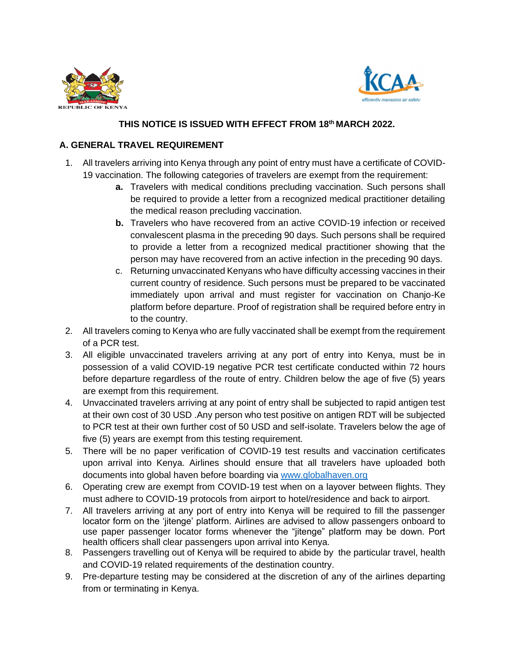



## **THIS NOTICE IS ISSUED WITH EFFECT FROM 18th MARCH 2022.**

## **A. GENERAL TRAVEL REQUIREMENT**

- 1. All travelers arriving into Kenya through any point of entry must have a certificate of COVID-19 vaccination. The following categories of travelers are exempt from the requirement:
	- **a.** Travelers with medical conditions precluding vaccination. Such persons shall be required to provide a letter from a recognized medical practitioner detailing the medical reason precluding vaccination.
	- **b.** Travelers who have recovered from an active COVID-19 infection or received convalescent plasma in the preceding 90 days. Such persons shall be required to provide a letter from a recognized medical practitioner showing that the person may have recovered from an active infection in the preceding 90 days.
	- c. Returning unvaccinated Kenyans who have difficulty accessing vaccines in their current country of residence. Such persons must be prepared to be vaccinated immediately upon arrival and must register for vaccination on Chanjo-Ke platform before departure. Proof of registration shall be required before entry in to the country.
- 2. All travelers coming to Kenya who are fully vaccinated shall be exempt from the requirement of a PCR test.
- 3. All eligible unvaccinated travelers arriving at any port of entry into Kenya, must be in possession of a valid COVID-19 negative PCR test certificate conducted within 72 hours before departure regardless of the route of entry. Children below the age of five (5) years are exempt from this requirement.
- 4. Unvaccinated travelers arriving at any point of entry shall be subjected to rapid antigen test at their own cost of 30 USD .Any person who test positive on antigen RDT will be subjected to PCR test at their own further cost of 50 USD and self-isolate. Travelers below the age of five (5) years are exempt from this testing requirement.
- 5. There will be no paper verification of COVID-19 test results and vaccination certificates upon arrival into Kenya. Airlines should ensure that all travelers have uploaded both documents into global haven before boarding via [www.globalhaven.org](http://www.globalhaven.org/)
- 6. Operating crew are exempt from COVID-19 test when on a layover between flights. They must adhere to COVID-19 protocols from airport to hotel/residence and back to airport.
- 7. All travelers arriving at any port of entry into Kenya will be required to fill the passenger locator form on the 'jitenge' platform. Airlines are advised to allow passengers onboard to use paper passenger locator forms whenever the "jitenge" platform may be down. Port health officers shall clear passengers upon arrival into Kenya.
- 8. Passengers travelling out of Kenya will be required to abide by the particular travel, health and COVID-19 related requirements of the destination country.
- 9. Pre-departure testing may be considered at the discretion of any of the airlines departing from or terminating in Kenya.